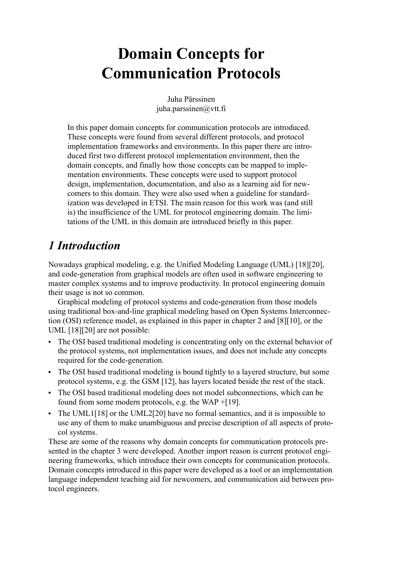# **Domain Concepts for Communication Protocols**

Juha Pärssinen juha.parssinen@vtt.fi

In this paper domain concepts for communication protocols are introduced. These concepts were found from several different protocols, and protocol implementation frameworks and environments. In this paper there are introduced first two different protocol implementation environment, then the domain concepts, and finally how those concepts can be mapped to implementation environments. These concepts were used to support protocol design, implementation, documentation, and also as a learning aid for newcomers to this domain. They were also used when a guideline for standardization was developed in ETSI. The main reason for this work was (and still is) the insufficience of the UML for protocol engineering domain. The limitations of the UML in this domain are introduced briefly in this paper.

# *1 Introduction*

Nowadays graphical modeling, e.g. the Unified Modeling Language (UML) [\[18\]](#page-10-0)[\[20\],](#page-10-3) and code-generation from graphical models are often used in software engineering to master complex systems and to improve productivity. In protocol engineering domain their usage is not so common.

Graphical modeling of protocol systems and code-generation from those models using traditional box-and-line graphical modeling based on Open Systems Interconnection (OSI) reference model, as explained in this paper in chapter [2](#page-1-0) and [\[8\]](#page-10-1)[\[10\]](#page-10-2), or the UML [\[18\]](#page-10-0)[\[20\]](#page-10-3) are not possible:

- The OSI based traditional modeling is concentrating only on the external behavior of the protocol systems, not implementation issues, and does not include any concepts required for the code-generation.
- **•** The OSI based traditional modeling is bound tightly to a layered structure, but some protocol systems, e.g. the GSM [\[12\],](#page-10-4) has layers located beside the rest of the stack.
- **•** The OSI based traditional modeling does not model subconnections, which can be found from some modern protocols, e.g. the WAP +[\[19\].](#page-10-5)
- **•** The UML[1\[18\]](#page-10-0) or the UML2[\[20\]](#page-10-3) have no formal semantics, and it is impossible to use any of them to make unambiguous and precise description of all aspects of protocol systems.

These are some of the reasons why domain concepts for communication protocols presented in the chapter [3](#page-5-0) were developed. Another import reason is current protocol engineering frameworks, which introduce their own concepts for communication protocols. Domain concepts introduced in this paper were developed as a tool or an implementation language independent teaching aid for newcomers, and communication aid between protocol engineers.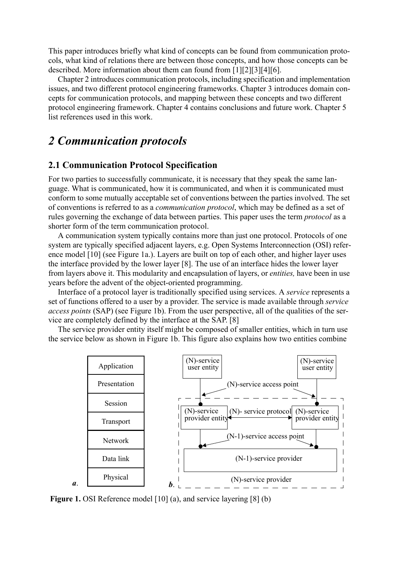This paper introduces briefly what kind of concepts can be found from communication protocols, what kind of relations there are between those concepts, and how those concepts can be described. More information about them can found from [\[1\]](#page-10-7)[\[2\]](#page-10-8)[\[3\]](#page-10-9)[\[4\]](#page-10-10)[\[6\].](#page-10-11)

Chapter [2](#page-1-0) introduces communication protocols, including specification and implementation issues, and two different protocol engineering frameworks. Chapter [3](#page-5-0) introduces domain concepts for communication protocols, and mapping between these concepts and two different protocol engineering framework. Chapter [4](#page-9-0) contains conclusions and future work. Chapter [5](#page-10-6) list references used in this work.

## <span id="page-1-0"></span>*2 Communication protocols*

#### **2.1 Communication Protocol Specification**

For two parties to successfully communicate, it is necessary that they speak the same language. What is communicated, how it is communicated, and when it is communicated must conform to some mutually acceptable set of conventions between the parties involved. The set of conventions is referred to as a *communication protocol*, which may be defined as a set of rules governing the exchange of data between parties. This paper uses the term *protocol* as a shorter form of the term communication protocol.

A communication system typically contains more than just one protocol. Protocols of one system are typically specified adjacent layers, e.g. Open Systems Interconnection (OSI) reference model [\[10\]](#page-10-2) (see [Figure 1](#page-1-1)a.). Layers are built on top of each other, and higher layer uses the interface provided by the lower layer [\[8\]](#page-10-1). The use of an interface hides the lower layer from layers above it. This modularity and encapsulation of layers, or *entities,* have been in use years before the advent of the object-oriented programming.

Interface of a protocol layer is traditionally specified using services. A *service* represents a set of functions offered to a user by a provider. The service is made available through *service access points* (SAP) (see [Figure 1](#page-1-1)b). From the user perspective, all of the qualities of the service are completely defined by the interface at the SAP. [\[8\]](#page-10-1)

The service provider entity itself might be composed of smaller entities, which in turn use the service below as shown in [Figure 1b](#page-1-1). This figure also explains how two entities combine



<span id="page-1-1"></span>**Figure 1.** OSI Reference model [\[10\]](#page-10-2) (a), and service layering [\[8\]](#page-10-1) (b)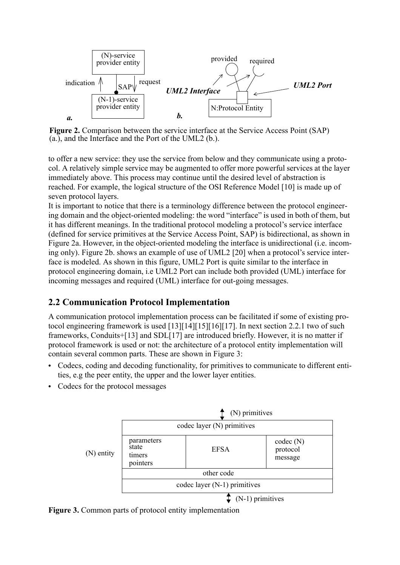

<span id="page-2-0"></span>**Figure 2.** Comparison between the service interface at the Service Access Point (SAP) (a.), and the Interface and the Port of the UML2 (b.).

to offer a new service: they use the service from below and they communicate using a protocol. A relatively simple service may be augmented to offer more powerful services at the layer immediately above. This process may continue until the desired level of abstraction is reached. For example, the logical structure of the OSI Reference Model [\[10\]](#page-10-2) is made up of seven protocol layers.

It is important to notice that there is a terminology difference between the protocol engineering domain and the object-oriented modeling: the word "interface" is used in both of them, but it has different meanings. In the traditional protocol modeling a protocol's service interface (defined for service primitives at the Service Access Point, SAP) is bidirectional, as shown in [Figure 2](#page-2-0)a. However, in the object-oriented modeling the interface is unidirectional (i.e. incoming only). [Figure 2b](#page-2-0). shows an example of use of UML2 [\[20\]](#page-10-3) when a protocol's service interface is modeled. As shown in this figure, UML2 Port is quite similar to the interface in protocol engineering domain, i.e UML2 Port can include both provided (UML) interface for incoming messages and required (UML) interface for out-going messages.

#### **2.2 Communication Protocol Implementation**

A communication protocol implementation process can be facilitated if some of existing protocol engineering framework is used [\[13\]](#page-10-12)[\[14\]](#page-10-13)[\[15\]](#page-10-14)[\[16\]](#page-10-15)[\[17\].](#page-10-16) In next section [2.2.1](#page-3-0) two of such frameworks, Conduits[+\[13\]](#page-10-12) and SD[L\[17\]](#page-10-16) are introduced briefly. However, it is no matter if protocol framework is used or not: the architecture of a protocol entity implementation will contain several common parts. These are shown in [Figure 3:](#page-2-1)

- **•** Codecs, coding and decoding functionality, for primitives to communicate to different entities, e.g the peer entity, the upper and the lower layer entities.
- **•** Codecs for the protocol messages



<span id="page-2-1"></span>**Figure 3.** Common parts of protocol entity implementation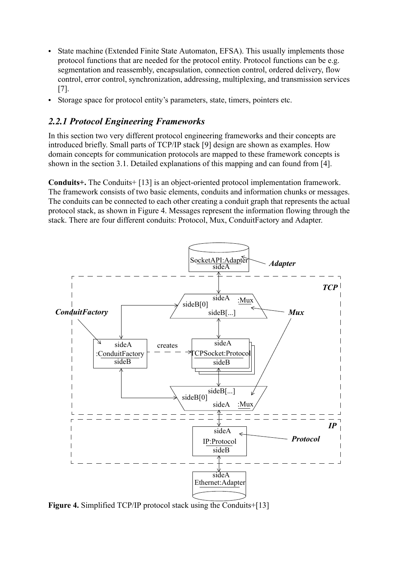- **•** State machine (Extended Finite State Automaton, EFSA). This usually implements those protocol functions that are needed for the protocol entity. Protocol functions can be e.g. segmentation and reassembly, encapsulation, connection control, ordered delivery, flow control, error control, synchronization, addressing, multiplexing, and transmission services [\[7\].](#page-10-17)
- **•** Storage space for protocol entity's parameters, state, timers, pointers etc.

#### <span id="page-3-0"></span>*2.2.1 Protocol Engineering Frameworks*

In this section two very different protocol engineering frameworks and their concepts are introduced briefly. Small parts of TCP/IP stack [\[9\]](#page-10-18) design are shown as examples. How domain concepts for communication protocols are mapped to these framework concepts is shown in the section [3.1](#page-8-0). Detailed explanations of this mapping and can found from [\[4\].](#page-10-10)

**Conduits+.** The Conduits+ [\[13\]](#page-10-12) is an object-oriented protocol implementation framework. The framework consists of two basic elements, conduits and information chunks or messages. The conduits can be connected to each other creating a conduit graph that represents the actual protocol stack, as shown in [Figure 4](#page-3-1). Messages represent the information flowing through the stack. There are four different conduits: Protocol, Mux, ConduitFactory and Adapter.



<span id="page-3-1"></span>**Figure 4.** Simplified TCP/IP protocol stack using the Conduits[+\[13\]](#page-10-12)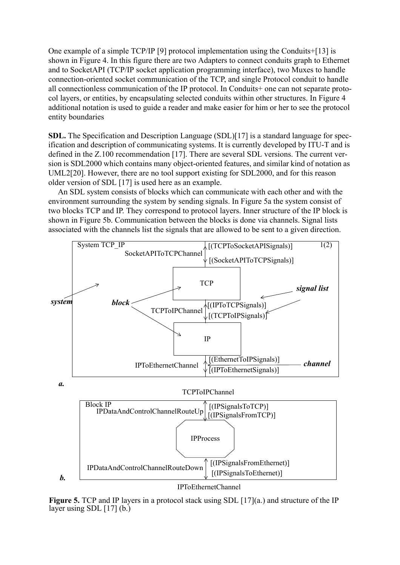One example of a simple TCP/IP [\[9\]](#page-10-18) protocol implementation using the Conduits+[\[13\]](#page-10-12) is shown in [Figure 4.](#page-3-1) In this figure there are two Adapters to connect conduits graph to Ethernet and to SocketAPI (TCP/IP socket application programming interface), two Muxes to handle connection-oriented socket communication of the TCP, and single Protocol conduit to handle all connectionless communication of the IP protocol. In Conduits+ one can not separate protocol layers, or entities, by encapsulating selected conduits within other structures. In [Figure 4](#page-3-1) additional notation is used to guide a reader and make easier for him or her to see the protocol entity boundaries

**SDL.** The Specification and Description Language (SDL)[\[17\]](#page-10-16) is a standard language for specification and description of communicating systems. It is currently developed by ITU-T and is defined in the Z.100 recommendation [\[17\].](#page-10-16) There are several SDL versions. The current version is SDL2000 which contains many object-oriented features, and similar kind of notation as UML2[\[20\]](#page-10-3). However, there are no tool support existing for SDL2000, and for this reason older version of SDL [\[17\]](#page-10-16) is used here as an example.

An SDL system consists of blocks which can communicate with each other and with the environment surrounding the system by sending signals. In [Figure 5](#page-4-0)a the system consist of two blocks TCP and IP. They correspond to protocol layers. Inner structure of the IP block is shown in [Figure 5b](#page-4-0). Communication between the blocks is done via channels. Signal lists associated with the channels list the signals that are allowed to be sent to a given direction.



<span id="page-4-0"></span>**Figure 5.** TCP and IP layers in a protocol stack using SDL [\[17\]](#page-10-16)(a.) and structure of the IP layer using SDL  $[17]$  (b.)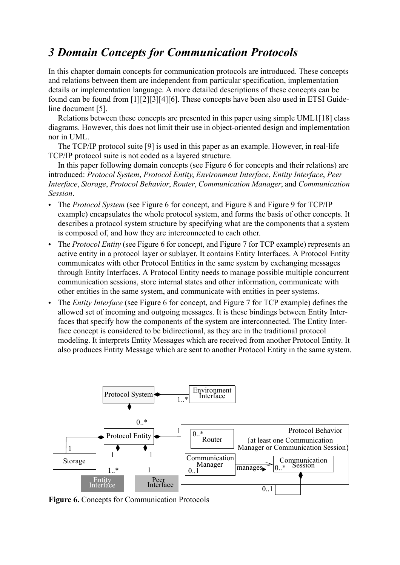# <span id="page-5-0"></span>*3 Domain Concepts for Communication Protocols*

In this chapter domain concepts for communication protocols are introduced. These concepts and relations between them are independent from particular specification, implementation details or implementation language. A more detailed descriptions of these concepts can be found can be found from [\[1\]](#page-10-7)[\[2\]](#page-10-8)[\[3\]](#page-10-9)[\[4\]](#page-10-10)[\[6\]](#page-10-11). These concepts have been also used in ETSI Guideline document [\[5\]](#page-10-19).

Relations between these concepts are presented in this paper using simple UML[1\[18\]](#page-10-0) class diagrams. However, this does not limit their use in object-oriented design and implementation nor in UML.

The TCP/IP protocol suite [\[9\]](#page-10-18) is used in this paper as an example. However, in real-life TCP/IP protocol suite is not coded as a layered structure.

In this paper following domain concepts (see [Figure 6](#page-5-1) for concepts and their relations) are introduced: *Protocol System*, *Protocol Entity*, *Environment Interface*, *Entity Interface*, *Peer Interface*, *Storage*, *Protocol Behavior*, *Router*, *Communication Manager*, and *Communication Session*.

- **•** The *Protocol System* (see [Figure 6](#page-5-1) for concept, and [Figure 8](#page-7-0) and [Figure 9](#page-7-1) for TCP/IP example) encapsulates the whole protocol system, and forms the basis of other concepts. It describes a protocol system structure by specifying what are the components that a system is composed of, and how they are interconnected to each other.
- **•** The *Protocol Entity* (see [Figure 6](#page-5-1) for concept, and [Figure 7](#page-6-0) for TCP example) represents an active entity in a protocol layer or sublayer. It contains Entity Interfaces. A Protocol Entity communicates with other Protocol Entities in the same system by exchanging messages through Entity Interfaces. A Protocol Entity needs to manage possible multiple concurrent communication sessions, store internal states and other information, communicate with other entities in the same system, and communicate with entities in peer systems.
- **•** The *Entity Interface* (see [Figure 6](#page-5-1) for concept, and [Figure 7](#page-6-0) for TCP example) defines the allowed set of incoming and outgoing messages. It is these bindings between Entity Interfaces that specify how the components of the system are interconnected. The Entity Interface concept is considered to be bidirectional, as they are in the traditional protocol modeling. It interprets Entity Messages which are received from another Protocol Entity. It also produces Entity Message which are sent to another Protocol Entity in the same system.



<span id="page-5-1"></span>**Figure 6.** Concepts for Communication Protocols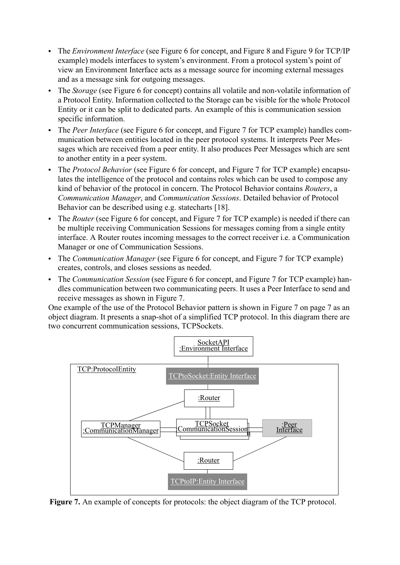- **•** The *Environment Interface* (see [Figure 6](#page-5-1) for concept, and [Figure 8](#page-7-0) and [Figure 9](#page-7-1) for TCP/IP example) models interfaces to system's environment. From a protocol system's point of view an Environment Interface acts as a message source for incoming external messages and as a message sink for outgoing messages.
- **•** The *Storage* (see [Figure 6](#page-5-1) for concept) contains all volatile and non-volatile information of a Protocol Entity. Information collected to the Storage can be visible for the whole Protocol Entity or it can be split to dedicated parts. An example of this is communication session specific information.
- **•** The *Peer Interface* (see [Figure 6](#page-5-1) for concept, and [Figure 7](#page-6-0) for TCP example) handles communication between entities located in the peer protocol systems. It interprets Peer Messages which are received from a peer entity. It also produces Peer Messages which are sent to another entity in a peer system.
- **•** The *Protocol Behavior* (see [Figure 6](#page-5-1) for concept, and [Figure 7](#page-6-0) for TCP example) encapsulates the intelligence of the protocol and contains roles which can be used to compose any kind of behavior of the protocol in concern. The Protocol Behavior contains *Routers*, a *Communication Manager*, and *Communication Sessions*. Detailed behavior of Protocol Behavior can be described using e.g. statecharts [\[18\].](#page-10-0)
- **•** The *Router* (see [Figure 6](#page-5-1) for concept, and [Figure 7](#page-6-0) for TCP example) is needed if there can be multiple receiving Communication Sessions for messages coming from a single entity interface. A Router routes incoming messages to the correct receiver i.e. a Communication Manager or one of Communication Sessions.
- **•** The *Communication Manager* (see [Figure 6](#page-5-1) for concept, and [Figure 7](#page-6-0) for TCP example) creates, controls, and closes sessions as needed.
- **•** The *Communication Session* (see [Figure 6](#page-5-1) for concept, and [Figure 7](#page-6-0) for TCP example) handles communication between two communicating peers. It uses a Peer Interface to send and receive messages as shown in [Figure 7.](#page-6-0)

One example of the use of the Protocol Behavior pattern is shown in [Figure 7 on page 7](#page-6-0) as an object diagram. It presents a snap-shot of a simplified TCP protocol. In this diagram there are two concurrent communication sessions, TCPSockets.



<span id="page-6-0"></span>**Figure 7.** An example of concepts for protocols: the object diagram of the TCP protocol.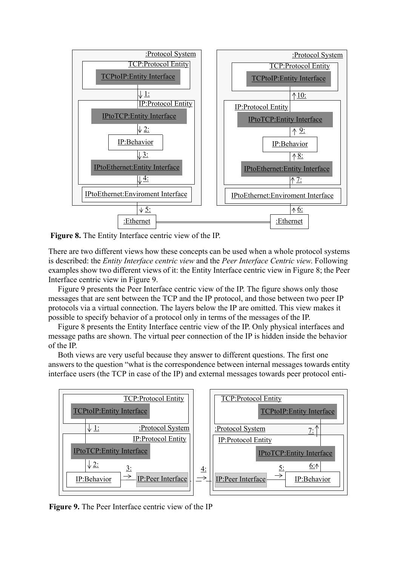

<span id="page-7-0"></span>**Figure 8.** The Entity Interface centric view of the IP.

There are two different views how these concepts can be used when a whole protocol systems is described: the *Entity Interface centric view* and the *Peer Interface Centric view*. Following examples show two different views of it: the Entity Interface centric view in [Figure 8;](#page-7-0) the Peer Interface centric view in [Figure 9](#page-7-1).

[Figure 9](#page-7-1) presents the Peer Interface centric view of the IP. The figure shows only those messages that are sent between the TCP and the IP protocol, and those between two peer IP protocols via a virtual connection. The layers below the IP are omitted. This view makes it possible to specify behavior of a protocol only in terms of the messages of the IP.

[Figure 8](#page-7-0) presents the Entity Interface centric view of the IP. Only physical interfaces and message paths are shown. The virtual peer connection of the IP is hidden inside the behavior of the IP.

Both views are very useful because they answer to different questions. The first one answers to the question "what is the correspondence between internal messages towards entity interface users (the TCP in case of the IP) and external messages towards peer protocol enti-



<span id="page-7-1"></span>**Figure 9.** The Peer Interface centric view of the IP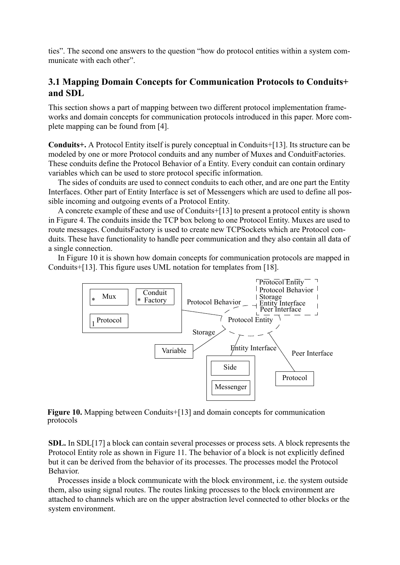ties". The second one answers to the question "how do protocol entities within a system communicate with each other".

#### <span id="page-8-0"></span>**3.1 Mapping Domain Concepts for Communication Protocols to Conduits+ and SDL**

This section shows a part of mapping between two different protocol implementation frameworks and domain concepts for communication protocols introduced in this paper. More complete mapping can be found from [\[4\]](#page-10-10).

**Conduits+.** A Protocol Entity itself is purely conceptual in Conduits[+\[13\]](#page-10-12). Its structure can be modeled by one or more Protocol conduits and any number of Muxes and ConduitFactories. These conduits define the Protocol Behavior of a Entity. Every conduit can contain ordinary variables which can be used to store protocol specific information.

The sides of conduits are used to connect conduits to each other, and are one part the Entity Interfaces. Other part of Entity Interface is set of Messengers which are used to define all possible incoming and outgoing events of a Protocol Entity.

A concrete example of these and use of Conduits+[\[13\]](#page-10-12) to present a protocol entity is shown in [Figure 4](#page-3-1). The conduits inside the TCP box belong to one Protocol Entity. Muxes are used to route messages. ConduitsFactory is used to create new TCPSockets which are Protocol conduits. These have functionality to handle peer communication and they also contain all data of a single connection.

In [Figure 10](#page-8-1) it is shown how domain concepts for communication protocols are mapped in Conduits+[\[13\].](#page-10-12) This figure uses UML notation for templates from [\[18\].](#page-10-0)



<span id="page-8-1"></span>**Figure 10.** Mapping between Conduits+[\[13\]](#page-10-12) and domain concepts for communication protocols

**SDL.** In SD[L\[17\]](#page-10-16) a block can contain several processes or process sets. A block represents the Protocol Entity role as shown in [Figure 11](#page-9-1). The behavior of a block is not explicitly defined but it can be derived from the behavior of its processes. The processes model the Protocol Behavior.

Processes inside a block communicate with the block environment, i.e. the system outside them, also using signal routes. The routes linking processes to the block environment are attached to channels which are on the upper abstraction level connected to other blocks or the system environment.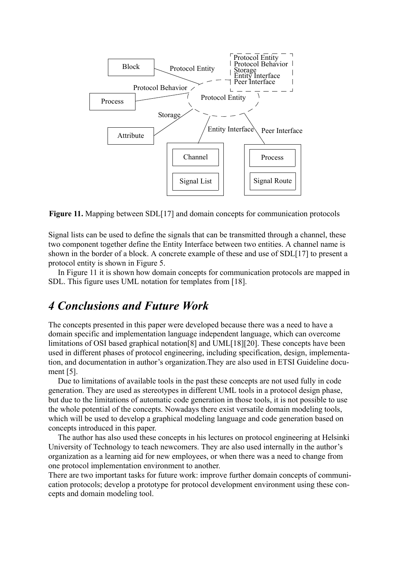

<span id="page-9-1"></span>**Figure 11.** Mapping between SDL[\[17\]](#page-10-16) and domain concepts for communication protocols

Signal lists can be used to define the signals that can be transmitted through a channel, these two component together define the Entity Interface between two entities. A channel name is shown in the border of a block. A concrete example of these and use of SDL[\[17\]](#page-10-16) to present a protocol entity is shown in [Figure 5](#page-4-0).

In [Figure 11](#page-9-1) it is shown how domain concepts for communication protocols are mapped in SDL. This figure uses UML notation for templates from [\[18\]](#page-10-0).

### <span id="page-9-0"></span>*4 Conclusions and Future Work*

The concepts presented in this paper were developed because there was a need to have a domain specific and implementation language independent language, which can overcome limitations of OSI based graphical notation[\[8\]](#page-10-1) and UML[\[18\]](#page-10-0)[\[20\].](#page-10-3) These concepts have been used in different phases of protocol engineering, including specification, design, implementation, and documentation in author's organization.They are also used in ETSI Guideline document [\[5\].](#page-10-19)

Due to limitations of available tools in the past these concepts are not used fully in code generation. They are used as stereotypes in different UML tools in a protocol design phase, but due to the limitations of automatic code generation in those tools, it is not possible to use the whole potential of the concepts. Nowadays there exist versatile domain modeling tools, which will be used to develop a graphical modeling language and code generation based on concepts introduced in this paper.

The author has also used these concepts in his lectures on protocol engineering at Helsinki University of Technology to teach newcomers. They are also used internally in the author's organization as a learning aid for new employees, or when there was a need to change from one protocol implementation environment to another.

There are two important tasks for future work: improve further domain concepts of communication protocols; develop a prototype for protocol development environment using these concepts and domain modeling tool.